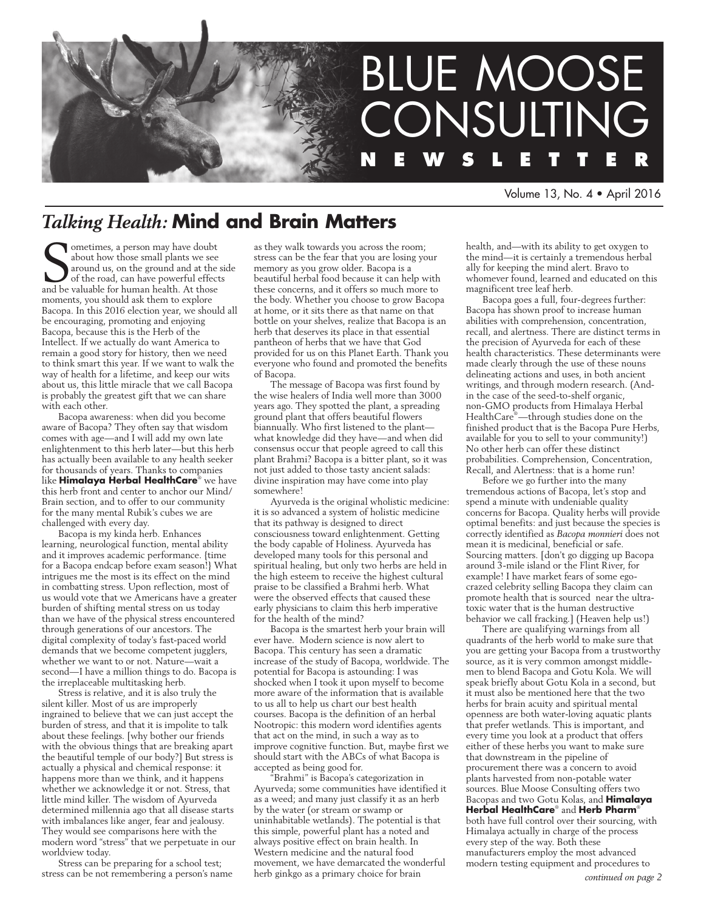

Volume 13, No. 4 • April 2016

# *Talking Health:* **Mind and Brain Matters**

**S** ometimes, a person may have doubt about how those small plants we see around us, on the ground and at the of the road, can have powerful effect and be valuable for human health. At those ometimes, a person may have doubt about how those small plants we see around us, on the ground and at the side of the road, can have powerful effects moments, you should ask them to explore Bacopa. In this 2016 election year, we should all be encouraging, promoting and enjoying Bacopa, because this is the Herb of the Intellect. If we actually do want America to remain a good story for history, then we need to think smart this year. If we want to walk the way of health for a lifetime, and keep our wits about us, this little miracle that we call Bacopa is probably the greatest gift that we can share with each other.

Bacopa awareness: when did you become aware of Bacopa? They often say that wisdom comes with age—and I will add my own late enlightenment to this herb later—but this herb has actually been available to any health seeker for thousands of years. Thanks to companies like **Himalaya Herbal HealthCare**® we have this herb front and center to anchor our Mind/ Brain section, and to offer to our community for the many mental Rubik's cubes we are challenged with every day.

Bacopa is my kinda herb. Enhances learning, neurological function, mental ability and it improves academic performance. {time for a Bacopa endcap before exam season!} What intrigues me the most is its effect on the mind in combatting stress. Upon reflection, most of us would vote that we Americans have a greater burden of shifting mental stress on us today than we have of the physical stress encountered through generations of our ancestors. The digital complexity of today's fast-paced world demands that we become competent jugglers, whether we want to or not. Nature—wait a second—I have a million things to do. Bacopa is the irreplaceable multitasking herb.

Stress is relative, and it is also truly the silent killer. Most of us are improperly ingrained to believe that we can just accept the burden of stress, and that it is impolite to talk about these feelings. [why bother our friends with the obvious things that are breaking apart the beautiful temple of our body?] But stress is actually a physical and chemical response: it happens more than we think, and it happens whether we acknowledge it or not. Stress, that little mind killer. The wisdom of Ayurveda determined millennia ago that all disease starts with imbalances like anger, fear and jealousy. They would see comparisons here with the modern word "stress" that we perpetuate in our worldview today.

Stress can be preparing for a school test; stress can be not remembering a person's name as they walk towards you across the room; stress can be the fear that you are losing your memory as you grow older. Bacopa is a beautiful herbal food because it can help with these concerns, and it offers so much more to the body. Whether you choose to grow Bacopa at home, or it sits there as that name on that bottle on your shelves, realize that Bacopa is an herb that deserves its place in that essential pantheon of herbs that we have that God provided for us on this Planet Earth. Thank you everyone who found and promoted the benefits of Bacopa.

The message of Bacopa was first found by the wise healers of India well more than 3000 years ago. They spotted the plant, a spreading ground plant that offers beautiful flowers biannually. Who first listened to the plant what knowledge did they have—and when did consensus occur that people agreed to call this plant Brahmi? Bacopa is a bitter plant, so it was not just added to those tasty ancient salads: divine inspiration may have come into play somewhere!

Ayurveda is the original wholistic medicine: it is so advanced a system of holistic medicine that its pathway is designed to direct consciousness toward enlightenment. Getting the body capable of Holiness. Ayurveda has developed many tools for this personal and spiritual healing, but only two herbs are held in the high esteem to receive the highest cultural praise to be classified a Brahmi herb. What were the observed effects that caused these early physicians to claim this herb imperative for the health of the mind?

Bacopa is the smartest herb your brain will ever have. Modern science is now alert to Bacopa. This century has seen a dramatic increase of the study of Bacopa, worldwide. The potential for Bacopa is astounding: I was shocked when I took it upon myself to become more aware of the information that is available to us all to help us chart our best health courses. Bacopa is the definition of an herbal Nootropic: this modern word identifies agents that act on the mind, in such a way as to improve cognitive function. But, maybe first we should start with the ABCs of what Bacopa is accepted as being good for.

"Brahmi" is Bacopa's categorization in Ayurveda; some communities have identified it as a weed; and many just classify it as an herb by the water (or stream or swamp or uninhabitable wetlands). The potential is that this simple, powerful plant has a noted and always positive effect on brain health. In Western medicine and the natural food movement, we have demarcated the wonderful herb ginkgo as a primary choice for brain

health, and—with its ability to get oxygen to the mind—it is certainly a tremendous herbal ally for keeping the mind alert. Bravo to whomever found, learned and educated on this magnificent tree leaf herb.

Bacopa goes a full, four-degrees further: Bacopa has shown proof to increase human abilities with comprehension, concentration, recall, and alertness. There are distinct terms in the precision of Ayurveda for each of these health characteristics. These determinants were made clearly through the use of these nouns delineating actions and uses, in both ancient writings, and through modern research. (Andin the case of the seed-to-shelf organic, non-GMO products from Himalaya Herbal HealthCare® —through studies done on the finished product that is the Bacopa Pure Herbs, available for you to sell to your community!) No other herb can offer these distinct probabilities. Comprehension, Concentration, Recall, and Alertness: that is a home run!

Before we go further into the many tremendous actions of Bacopa, let's stop and spend a minute with undeniable quality concerns for Bacopa. Quality herbs will provide optimal benefits: and just because the species is correctly identified as *Bacopa monnieri* does not mean it is medicinal, beneficial or safe. Sourcing matters. [don't go digging up Bacopa around 3-mile island or the Flint River, for example! I have market fears of some egocrazed celebrity selling Bacopa they claim can promote health that is sourced near the ultratoxic water that is the human destructive behavior we call fracking.] (Heaven help us!)

There are qualifying warnings from all quadrants of the herb world to make sure that you are getting your Bacopa from a trustworthy source, as it is very common amongst middlemen to blend Bacopa and Gotu Kola. We will speak briefly about Gotu Kola in a second, but it must also be mentioned here that the two herbs for brain acuity and spiritual mental openness are both water-loving aquatic plants that prefer wetlands. This is important, and every time you look at a product that offers either of these herbs you want to make sure that downstream in the pipeline of procurement there was a concern to avoid plants harvested from non-potable water sources. Blue Moose Consulting offers two Bacopas and two Gotu Kolas, and **Himalaya Herbal HealthCare**® and **Herb Pharm**® both have full control over their sourcing, with Himalaya actually in charge of the process every step of the way. Both these manufacturers employ the most advanced modern testing equipment and procedures to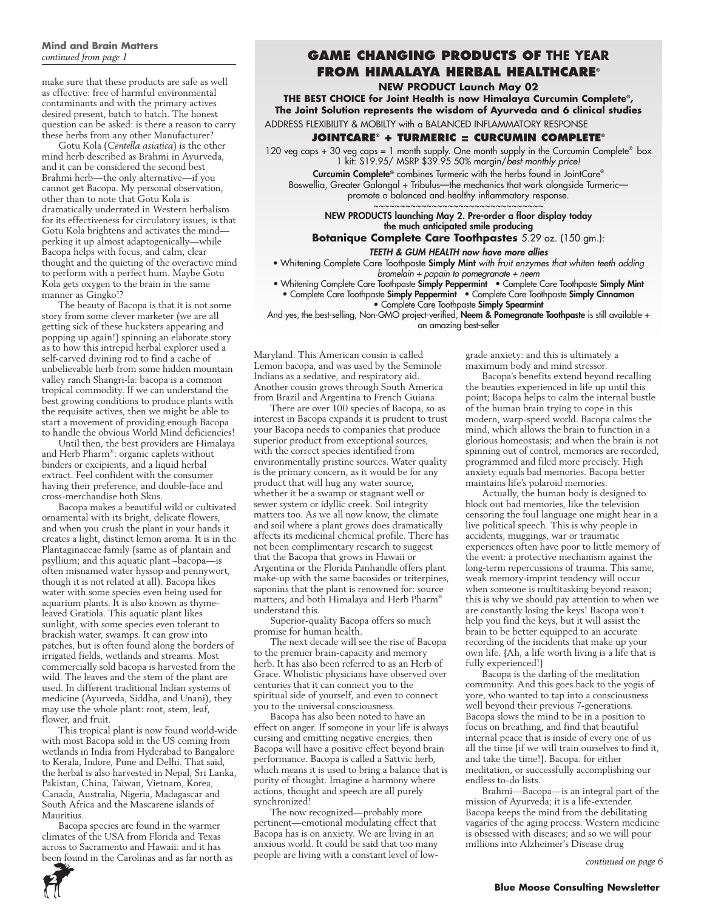#### **Mind and Brain Matters**  *continued from page 1*

make sure that these products are safe as well as effective: free of harmful environmental contaminants and with the primary actives desired present, batch to batch. The honest question can be asked: is there a reason to carry these herbs from any other Manufacturer?

Gotu Kola (*Centella asiatica*) is the other mind herb described as Brahmi in Ayurveda, and it can be considered the second best Brahmi herb—the only alternative—if you cannot get Bacopa. My personal observation, other than to note that Gotu Kola is dramatically underrated in Western herbalism for its effectiveness for circulatory issues, is that Gotu Kola brightens and activates the mind perking it up almost adaptogenically—while Bacopa helps with focus, and calm, clear thought and the quieting of the overactive mind to perform with a perfect hum. Maybe Gotu Kola gets oxygen to the brain in the same manner as Gingko!?

The beauty of Bacopa is that it is not some story from some clever marketer (we are all getting sick of these hucksters appearing and popping up again!) spinning an elaborate story as to how this intrepid herbal explorer used a self-carved divining rod to find a cache of unbelievable herb from some hidden mountain valley ranch Shangri-la: bacopa is a common tropical commodity. If we can understand the best growing conditions to produce plants with the requisite actives, then we might be able to start a movement of providing enough Bacopa to handle the obvious World Mind deficiencies!

Until then, the best providers are Himalaya and Herb Pharm® : organic caplets without binders or excipients, and a liquid herbal extract. Feel confident with the consumer having their preference, and double-face and cross-merchandise both Skus.

Bacopa makes a beautiful wild or cultivated ornamental with its bright, delicate flowers, and when you crush the plant in your hands it creates a light, distinct lemon aroma. It is in the Plantaginaceae family (same as of plantain and psyllium; and this aquatic plant –bacopa—is often misnamed water hyssop and pennywort, though it is not related at all). Bacopa likes water with some species even being used for aquarium plants. It is also known as thymeleaved Gratiola. This aquatic plant likes sunlight, with some species even tolerant to brackish water, swamps. It can grow into patches, but is often found along the borders of irrigated fields, wetlands and streams. Most commercially sold bacopa is harvested from the wild. The leaves and the stem of the plant are used. In different traditional Indian systems of medicine (Ayurveda, Siddha, and Unani), they may use the whole plant: root, stem, leaf, flower, and fruit.

This tropical plant is now found world-wide with most Bacopa sold in the US coming from wetlands in India from Hyderabad to Bangalore to Kerala, Indore, Pune and Delhi. That said, the herbal is also harvested in Nepal, Sri Lanka, Pakistan, China, Taiwan, Vietnam, Korea, Canada, Australia, Nigeria, Madagascar and South Africa and the Mascarene islands of Mauritius.

Bacopa species are found in the warmer climates of the USA from Florida and Texas across to Sacramento and Hawaii: and it has been found in the Carolinas and as far north as

## **GAME CHANGING PRODUCTS OF THE YEAR from Himalaya Herbal HealthCare®**

**NEW PRODUCT Launch May 02**

**THE BEST CHOICE for Joint Health is now Himalaya Curcumin Complete®, The Joint Solution represents the wisdom of Ayurveda and 6 clinical studies**

ADDRESS FLEXIBILITY & MOBILTY with a BALANCED INFLAMMATORY RESPONSE

#### **JointCare® + Turmeric = Curcumin Complete®**

120 veg caps + 30 veg caps = 1 month supply. One month supply in the Curcumin Complete® box 1 kit: \$19.95/ MSRP \$39.95 50% margin/*best monthly price!*

Curcumin Complete® combines Turmeric with the herbs found in JointCare® Boswellia, Greater Galangal + Tribulus—the mechanics that work alongside Turmeric promote a balanced and healthy inflammatory response. ~~~~~~~~~~~~~~~~~~~~~~~~~~~~

NEW PRODUCTS launching May 2. Pre-order a floor display today the much anticipated smile producing

**Botanique Complete Care Toothpastes** 5.29 oz. (150 gm.):

*TEETH & GUM HEALTH now have more allies*

• Whitening Complete Care Toothpaste Simply Mint *with fruit enzymes that whiten teeth adding bromelain + papain to pomegranate + neem*

• Whitening Complete Care Toothpaste Simply Peppermint • Complete Care Toothpaste Simply Mint • Complete Care Toothpaste Simply Peppermint • Complete Care Toothpaste Simply Cinnamon • Complete Care Toothpaste Simply Spearmint

And yes, the best-selling, Non-GMO project-verified, Neem & Pomegranate Toothpaste is still available + an amazing best-seller

Maryland. This American cousin is called Lemon bacopa, and was used by the Seminole Indians as a sedative, and respiratory aid. Another cousin grows through South America from Brazil and Argentina to French Guiana.

There are over 100 species of Bacopa, so as interest in Bacopa expands it is prudent to trust your Bacopa needs to companies that produce superior product from exceptional sources, with the correct species identified from environmentally pristine sources. Water quality is the primary concern, as it would be for any product that will hug any water source, whether it be a swamp or stagnant well or sewer system or idyllic creek. Soil integrity matters too. As we all now know, the climate and soil where a plant grows does dramatically affects its medicinal chemical profile. There has not been complimentary research to suggest that the Bacopa that grows in Hawaii or Argentina or the Florida Panhandle offers plant make-up with the same bacosides or triterpines, saponins that the plant is renowned for: source matters, and both Himalaya and Herb Pharm® understand this.

Superior-quality Bacopa offers so much promise for human health.

The next decade will see the rise of Bacopa to the premier brain-capacity and memory herb. It has also been referred to as an Herb of Grace. Wholistic physicians have observed over centuries that it can connect you to the spiritual side of yourself, and even to connect you to the universal consciousness.

Bacopa has also been noted to have an effect on anger. If someone in your life is always cursing and emitting negative energies, then Bacopa will have a positive effect beyond brain performance. Bacopa is called a Sattvic herb, which means it is used to bring a balance that is purity of thought. Imagine a harmony where actions, thought and speech are all purely synchronized!

The now recognized—probably more pertinent—emotional modulating effect that Bacopa has is on anxiety. We are living in an anxious world. It could be said that too many people are living with a constant level of lowgrade anxiety: and this is ultimately a maximum body and mind stressor.

Bacopa's benefits extend beyond recalling the beauties experienced in life up until this point; Bacopa helps to calm the internal bustle of the human brain trying to cope in this modern, warp-speed world. Bacopa calms the mind, which allows the brain to function in a glorious homeostasis; and when the brain is not spinning out of control, memories are recorded, programmed and filed more precisely. High anxiety equals bad memories. Bacopa better maintains life's polaroid memories.

Actually, the human body is designed to block out bad memories, like the television censoring the foul language one might hear in a live political speech. This is why people in accidents, muggings, war or traumatic experiences often have poor to little memory of the event: a protective mechanism against the long-term repercussions of trauma. This same, weak memory-imprint tendency will occur when someone is multitasking beyond reason; this is why we should pay attention to when we are constantly losing the keys! Bacopa won't help you find the keys, but it will assist the brain to be better equipped to an accurate recording of the incidents that make up your own life. {Ah, a life worth living is a life that is fully experienced!}

Bacopa is the darling of the meditation community. And this goes back to the yogis of yore, who wanted to tap into a consciousness well beyond their previous 7-generations. Bacopa slows the mind to be in a position to focus on breathing, and find that beautiful internal peace that is inside of every one of us all the time {if we will train ourselves to find it, and take the time!}. Bacopa: for either meditation, or successfully accomplishing our endless to-do lists.

Brahmi—Bacopa—is an integral part of the mission of Ayurveda; it is a life-extender. Bacopa keeps the mind from the debilitating vagaries of the aging process. Western medicine is obsessed with diseases; and so we will pour millions into Alzheimer's Disease drug

*continued on page 6*

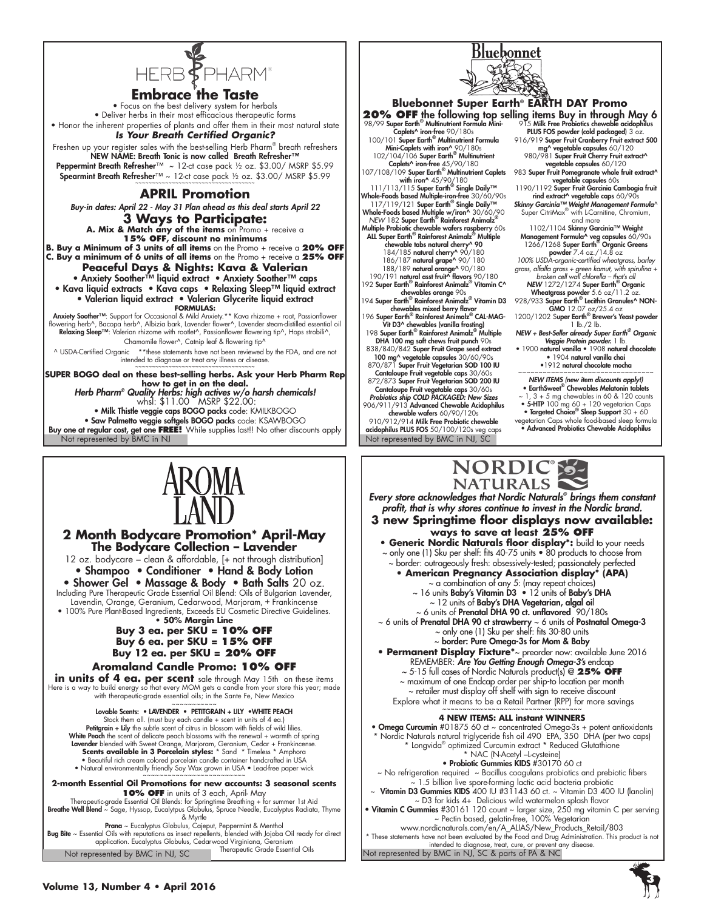

**Embrace the Taste**

• Focus on the best delivery system for herbals • Deliver herbs in their most efficacious therapeutic forms • Honor the inherent properties of plants and offer them in their most natural state

*Is Your Breath Certified Organic?* Freshen up your register sales with the best-selling Herb Pharm® breath refreshers NEW NAME: Breath Tonic is now called Breath Refresher™ Peppermint Breath Refresher™ ~ 12-ct case pack ½ oz. \$3.00/ MSRP \$5.99 Spearmint Breath Refresher™ ~ 12-ct case pack ½ oz. \$3.00/MSRP \$5.99

### **APRIL Promotion**

*Buy-in dates: April 22 - May 31 Plan ahead as this deal starts April 22* **3 Ways to Participate: A. Mix & Match any of the items** on Promo + receive a **15% OFF, discount no minimums B. Buy a Minimum of 3 units of all items** on the Promo + receive a **20% OFF C. Buy a minimum of 6 units of all items** on the Promo + receive a **25% OFF Peaceful Days & Nights: Kava & Valerian** • Anxiety Soother™ liquid extract • Anxiety Soother™ caps • Kava liquid extracts • Kava caps • Relaxing Sleep™ liquid extract • Valerian liquid extract • Valerian Glycerite liquid extract **FORMULAS:** Anxiety Soother™: Support for Occasional & Mild Anxiety.\*\* Kava rhizome + root, Passionflower wering herb^, Bacopa herb^, Albizia bark, Lavender flower^, Lavender steam-distilled essential oil Relaxing Sleep™: Valerian rhizome with rootlet^, Passionflower flowering tip^, Hops strobili^, Chamomile flower^, Catnip leaf & flowering tip^ ^ USDA-Certified Organic \*\*these statements have not been reviewed by the FDA, and are not intended to diagnose or treat any illness or disease. **SUPER BOGO deal on these best-selling herbs. Ask your Herb Pharm Rep how to get in on the deal.**  *Herb Pharm® Quality Herbs: high actives w/o harsh chemicals!*

whsl: \$11.00 MSRP \$22.00: • Milk Thistle veggie caps BOGO packs code: KMILKBOGO • Saw Palmetto veggie softgels BOGO packs code: KSAWBOGO Buy one at regular cost, get one **FREE!** While supplies last!! No other discounts apply



Bluebonnet

906/911/913 Advanced Chewable Acidophilus chewable wafers 60/90/120s 910/912/914 Milk Free Probiotic chewable

Not represented by BMC in NJ Not represented by BMC in NJ, SC acidophilus PLUS FOS 50/100/120s veg caps ~ 1, 3 + 5 mg chewables in 60 & 120 counts • 5-HTP 100 mg 60 + 120 vegetarian Caps • Targeted Choice® Sleep Support 30 + 60

vegetarian Caps whole food-based sleep formula • Advanced Probiotics Chewable Acidophilus



**2 Month Bodycare Promotion\* April-May The Bodycare Collection – Lavender**

12 oz. bodycare – clean & affordable, [+ not through distribution] • Shampoo • Conditioner • Hand & Body Lotion

• Shower Gel • Massage & Body • Bath Salts 20 oz. Including Pure Therapeutic Grade Essential Oil Blend: Oils of Bulgarian Lavender, Lavendin, Orange, Geranium, Cedarwood, Marjoram, + Frankincense

• 100% Pure Plant-Based Ingredients, Exceeds EU Cosmetic Directive Guidelines. **• 50% Margin Line**

### **Buy 3 ea. per SKU = 10% OFF Buy 6 ea. per SKU = 15% OFF Buy 12 ea. per SKU = 20% OFF**

### **Aromaland Candle Promo: 10% OFF**

**in units of 4 ea. per scent** sale through May 15th on these items Here is a way to build energy so that every MOM gets a candle from your store this year; made with therapeutic-grade essential oils; in the Sante Fe, New Mexico

~~~~~~~~~~~ Lovable Scents: • LAVENDER • PETITGRAIN + LILY •WHITE PEACH Stock them all. (must buy each candle + scent in units of 4 ea.) Petitgrain + Lily the subtle scent of citrus in blossom with fields of wild lilies. White Peach the scent of delicate peach blossoms with the renewal + warmth of spring Lavender blended with Sweet Orange, Marjoram, Geranium, Cedar + Frankincense. Scents available in 3 Porcelain styles: \* Sand \* Timeless \* Amphora<br>• Beautiful rich cream colored porcelain candle container handcrafted in USA<br>• Natural environmentally friendly Soy Wax grown in USA • Lead-free paper wic

~~~~~~~~~~~~~~~~~~~~~~~~~ **2-month Essential Oil Promotions for new accounts: 3 seasonal scents 1 O% OFF** in units of 3 each, April- May<br>Therapeutic-grade Essential Oil Blends: for Springtime Breathing + for summer 1st Aid<br>Breathe Well Blend ~ Sage, Hyssop, Eucalytpus Globulus, Spruce Needle, Eucalyptus Radiata, Thy

& Myrtle<br>**Prana** ~ Eucalyptus Globulus, Cajeput, Peppermint & Menthol<br>Bug Bite ~ Essential Oils with reputations as insect repellents, blended with Jojoba Oil ready for direct application. Eucalyptus Globulus, Cedarwood Virginiana, Geranium Therapeutic Grade Essential Oils Not represented by BMC in NJ, SC

NORDIC®S-**NATURALS** *Every store acknowledges that Nordic Naturals® brings them constant profit, that is why stores continue to invest in the Nordic brand.* **3 new Springtime floor displays now available: ways to save at least 25% OFF • Generic Nordic Naturals floor display\*:** build to your needs ~ only one (1) Sku per shelf: fits 40-75 units • 80 products to choose from ~ border: outrageously fresh: obsessively-tested; passionately perfected **• American Pregnancy Association display\* (APA)** ~ a combination of any 5: (may repeat choices) ~ 16 units Baby's Vitamin D3 • 12 units of Baby's DHA <sup>1</sup>2 units of **Baby's DHA Vegetarian, algal oil** ~ 6 units of Prenatal DHA 90 ct. unflavored 90/180s  $\sim$  6 units of **Prenatal DHA 90 ct strawberry**  $\sim$  6 units of **Postnatal Omega-3** ~ only one (1) Sku per shelf: fits 30-80 units ~ border: Pure Omega-3s for Mom & Baby **• Permanent Display Fixture\***~ preorder now: available June 2016 REMEMBER: *Are You Getting Enough Omega-3's* endcap ~ 5-15 full cases of Nordic Naturals product(s) @ **25% OFF** ~ maximum of one Endcap order per ship-to location per month ~ retailer must display off shelf with sign to receive discount Explore what it means to be a Retail Partner (RPP) for more savings **4 NEW ITEMS: ALL instant WINNERS** • Omega Curcumin #01875 60 ct ~ concentrated Omega-3s + potent antioxidants \* Nordic Naturals natural triglyceride fish oil 490 EPA, 350 DHA (per two caps) \* Longvida® optimized Curcumin extract \* Reduced Glutathione \* NAC (N-Acetyl –L-cysteine) • Probiotic Gummies KIDS #30170 60 ct ~ No refrigeration required ~ Bacillus coagulans probiotics and prebiotic fibers ~ 1.5 billion live spore-forming lactic acid bacteria probiotic Vitamin D3 Gummies KIDS 400 IU #31143 60 ct. ~ Vitamin D3 400 IU (lanolin) ~ D3 for kids 4+ Delicious wild watermelon splash flavor

• Vitamin C Gummies #30161 120 count ~ larger size, 250 mg vitamin C per serving ~ Pectin based, gelatin-free, 100% Vegetarian www.nordicnaturals.com/en/A\_ALIAS/New\_Products\_Retail/803

intended to diagnose, treat, cure, or prevent any disease.<br>Not represented by BMC in NJ, SC & parts of PA & NC \* These statements have not been evaluated by the Food and Drug Administration. This product is not

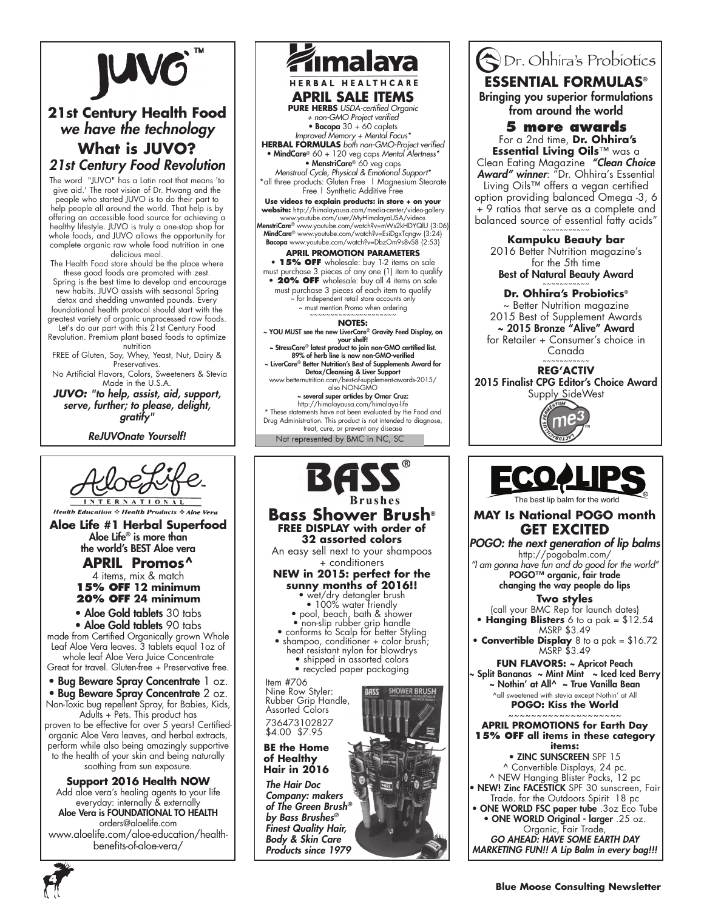

# **21st Century Health Food** *we have the technology* **What is JUVO?** *21st Century Food Revolution*

The word "JUVO" has a Latin root that means 'to give aid.' The root vision of Dr. Hwang and the people who started JUVO is to do their part to help people all around the world. That help is by offering an accessible food source for achieving a healthy lifestyle. JUVO is truly a one-stop shop for whole foods, and JUVO allows the opportunity for complete organic raw whole food nutrition in one delicious meal.

The Health Food store should be the place where these good foods are promoted with zest. Spring is the best time to develop and encourage

new habits. JUVO assists with seasonal Spring detox and shedding unwanted pounds. Every foundational health protocol should start with the

greatest variety of organic unprocessed raw foods. Let's do our part with this 21st Century Food

Revolution. Premium plant based foods to optimize nutrition

FREE of Gluten, Soy, Whey, Yeast, Nut, Dairy & Preservatives.

 No Artificial Flavors, Colors, Sweeteners & Stevia Made in the U.S.A.

*JUVO: "to help, assist, aid, support, serve, further; to please, delight, gratify"*

*ReJUVOnate Yourself!*





 *Body & Skin Care Products since 1979*

**ODr.** Ohhira's Probiotics **ESSENTIAL FORMULAS®** Bringing you superior formulations from around the world **5 more awards** For a 2nd time, **Dr. Ohhira's Essential Living Oils**™ was a Clean Eating Magazine *"Clean Choice Award" winner*: "Dr. Ohhira's Essential Living Oils™ offers a vegan certified option providing balanced Omega -3, 6 + 9 ratios that serve as a complete and balanced source of essential fatty acids" ~~~~~~~~~~~ **Kampuku Beauty bar**  2016 Better Nutrition magazine's for the 5th time Best of Natural Beauty Award ~~~~~~~~~~~ **Dr. Ohhira's Probiotics®**  ~ Better Nutrition magazine 2015 Best of Supplement Awards ~ 2015 Bronze "Alive" Award for Retailer + Consumer's choice in Canada ~~~~~~~~~~~ **REG'ACTIV**  2015 Finalist CPG Editor's Choice Award Supply SideWest The best lip balm for the world **MAY Is National POGO month GET EXCITED** *POGO: the next generation of lip balms* http://pogobalm.com/ *"I am gonna have fun and do good for the world"* POGO™ organic, fair trade changing the way people do lips **Two styles**  (call your BMC Rep for launch dates) **• Hanging Blisters** 6 to a pak = \$12.54 MSRP \$3.49 **• Convertible Display** 8 to a pak = \$16.72 MSRP \$3.49 **Fun Flavors:** ~ Apricot Peach ~ Split Bananas ~ Mint Mint ~ Iced Iced Berry ~ Nothin' at All^ ~ True Vanilla Bean ^all sweetened with stevia except Nothin' at All **POGO: Kiss the World** ~~~~~~~~~~~~~~~~~~~~ **APRIL PROMOTIONS for Earth Day 15% OFF all items in these category items:**

• ZINC SUNSCREEN SPF 15 ^ Convertible Displays, 24 pc. ^ NEW Hanging Blister Packs, 12 pc • NEW! Zinc FACESTICK SPF 30 sunscreen, Fair Trade. for the Outdoors Spirit 18 pc

• ONE WORLD FSC paper tube .3oz Eco Tube • ONE WORLD Original - larger .25 oz. Organic, Fair Trade, *GO AHEAD: HAVE SOME EARTH DAY* 

*MARKETING FUN!! A Lip Balm in every bag!!!*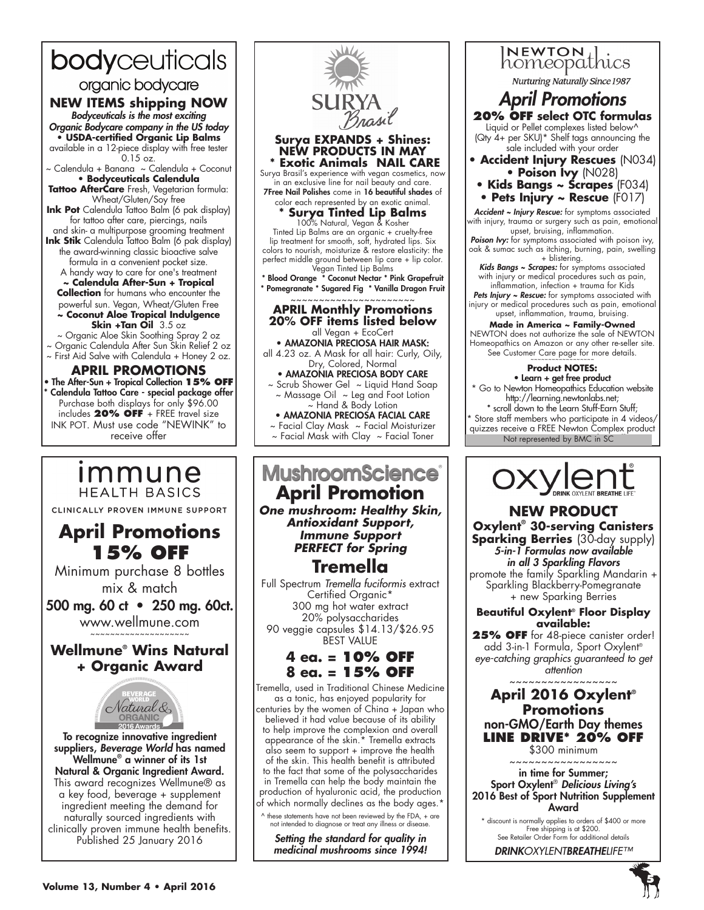# bodyceuticals

organic bodycare

## **NEW ITEMS shipping NOW**

*Bodyceuticals is the most exciting Organic Bodycare company in the US today* **• USDA-certified Organic Lip Balms** available in a 12-piece display with free tester 0.15 oz.

~ Calendula + Banana ~ Calendula + Coconut **• Bodyceuticals Calendula** 

**Tattoo AfterCare** Fresh, Vegetarian formula: Wheat/Gluten/Soy free

**Ink Pot** Calendula Tattoo Balm (6 pak display) for tattoo after care, piercings, nails

and skin- a multipurpose grooming treatment **Ink Stik** Calendula Tattoo Balm (6 pak display) the award-winning classic bioactive salve

formula in a convenient pocket size. A handy way to care for one's treatment **~ Calendula After-Sun + Tropical** 

**Collection** for humans who encounter the powerful sun. Vegan, Wheat/Gluten Free **~ Coconut Aloe Tropical Indulgence** 

**Skin +Tan Oil** 3.5 oz

- ~ Organic Aloe Skin Soothing Spray 2 oz
- ~ Organic Calendula After Sun Skin Relief 2 oz ~ First Aid Salve with Calendula + Honey 2 oz.

### **APRIL PROMOTIONS**

• The After-Sun + Tropical Collection **15% OFF** Calendula Tattoo Care - special package offer Purchase both displays for only \$96.00 includes **20% OFF** + FREE travel size INK POT. Must use code "NEWINK" to receive offer

# *Immune* **HEALTH BASICS**

CLINICALLY PROVEN IMMUNE SUPPORT

# **April Promotions 15% OFF**

Minimum purchase 8 bottles mix & match

500 mg. 60 ct • 250 mg. 60ct. www.wellmune.com

## **Wellmune® Wins Natural + Organic Award**



To recognize innovative ingredient suppliers, *Beverage World* has named Wellmune® a winner of its 1st Natural & Organic Ingredient Award. This award recognizes Wellmune® as a key food, beverage + supplement ingredient meeting the demand for naturally sourced ingredients with clinically proven immune health benefits. Published 25 January 2016



~ Facial Clay Mask ~ Facial Moisturizer  $\sim$  Facial Mask with Clay  $\sim$  Facial Toner

# **MushroomScience April Promotion**

*One mushroom: Healthy Skin, Antioxidant Support, Immune Support PERFECT for Spring*

# **Tremella**

Full Spectrum *Tremella fuciformis* extract Certified Organic\* 300 mg hot water extract 20% polysaccharides 90 veggie capsules \$14.13/\$26.95 BEST VALUE

# **4 ea. = 10% OFF 8 ea. = 15% OFF**

Tremella, used in Traditional Chinese Medicine as a tonic, has enjoyed popularity for centuries by the women of China + Japan who believed it had value because of its ability to help improve the complexion and overall appearance of the skin.\* Tremella extracts also seem to support + improve the health of the skin. This health benefit is attributed to the fact that some of the polysaccharides in Tremella can help the body maintain the production of hyaluronic acid, the production of which normally declines as the body ages.\*

^ these statements have not been reviewed by the FDA, + are not intended to diagnose or treat any illness or disease.

*Setting the standard for quality in medicinal mushrooms since 1994!*

INEWTON designation Nurturing Naturally Since 1987 *April Promotions* **20% OFF select OTC formulas** Liquid or Pellet complexes listed below^ (Qty 4+ per SKU)\* Shelf tags announcing the sale included with your order **• Accident Injury Rescues** (N034) **• Poison Ivy** (N028) **• Kids Bangs ~ Scrapes** (F034) **• Pets Injury ~ Rescue** (F017) *Accident ~ Injury Rescue:* for symptoms associated with injury, trauma or surgery such as pain, emotional upset, bruising, inflammation. *Poison Ivy:* for symptoms associated with poison ivy, oak & sumac such as itching, burning, pain, swelling + blistering. *Kids Bangs ~ Scrapes:* for symptoms associated with injury or medical procedures such as pain, inflammation, infection + trauma for Kids Pets Injury ~ Rescue: for symptoms associated with injury or medical procedures such as pain, emotional upset, inflammation, trauma, bruising. **Made in America ~ Family-Owned** NEWTON does not authorize the sale of NEWTON Homeopathics on Amazon or any other re-seller site. See Customer Care page for more details. **Product NOTES:** • Learn + get free product Go to Newton Homeopathics Education website http://learning.newtonlabs.net; \* scroll down to the Learn Stuff-Earn Stuff; Store staff members who participate in 4 videos/ quizzes receive a FREE Newton Complex product Not represented by BMC in SC



**NEW PRODUCT Oxylent® 30-serving Canisters Sparking Berries** (30-day supply) *5-in-1 Formulas now available in all 3 Sparkling Flavors* promote the family Sparkling Mandarin + Sparkling Blackberry-Pomegranate + new Sparking Berries

#### **Beautiful Oxylent® Floor Display available:**

**25% OFF** for 48-piece canister order! add 3-in-1 Formula, Sport Oxylent® *eye-catching graphics guaranteed to get attention*

~~~~~~~~~~~~~~~~~ **April 2016 Oxylent® Promotions** non-GMO/Earth Day themes **LINE DRIVE\* 20% OFF** \$300 minimum

~~~~~~~~~~~~~~~~~

in time for Summer; Sport Oxylent® *Delicious Living's* 2016 Best of Sport Nutrition Supplement Award

\* discount is normally applies to orders of \$400 or more Free shipping is at \$200. See Retailer Order Form for additional details

*DRINKOXYLENTBREATHELIFE™*

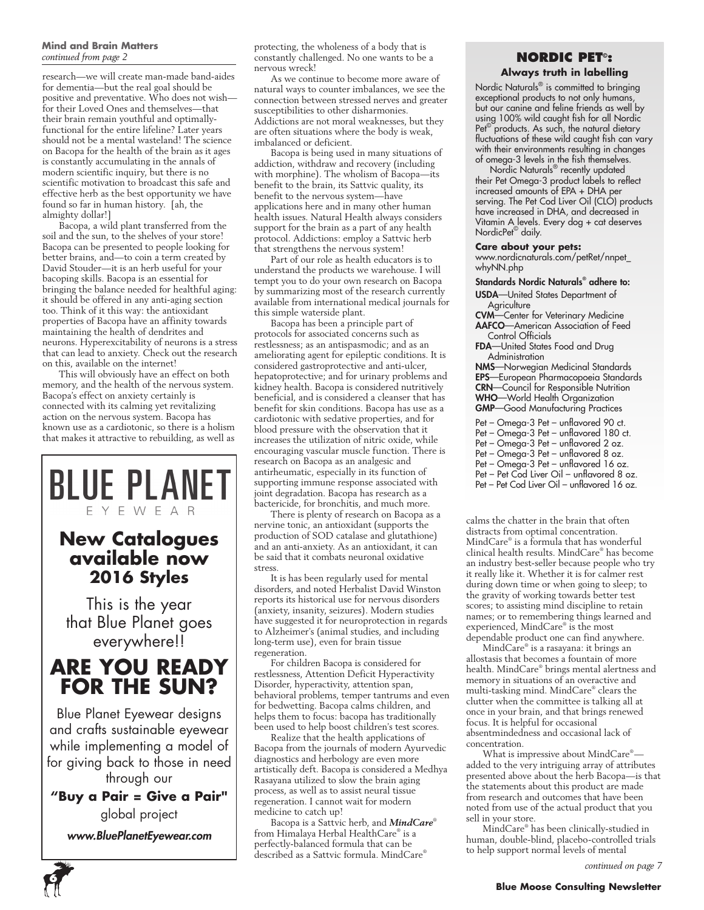#### **Mind and Brain Matters** *continued from page 2*

research—we will create man-made band-aides for dementia—but the real goal should be positive and preventative. Who does not wish for their Loved Ones and themselves—that their brain remain youthful and optimallyfunctional for the entire lifeline? Later years should not be a mental wasteland! The science on Bacopa for the health of the brain as it ages is constantly accumulating in the annals of modern scientific inquiry, but there is no scientific motivation to broadcast this safe and effective herb as the best opportunity we have found so far in human history. [ah, the almighty dollar!]

Bacopa, a wild plant transferred from the soil and the sun, to the shelves of your store! Bacopa can be presented to people looking for better brains, and—to coin a term created by David Stouder—it is an herb useful for your bacoping skills. Bacopa is an essential for bringing the balance needed for healthful aging: it should be offered in any anti-aging section too. Think of it this way: the antioxidant properties of Bacopa have an affinity towards maintaining the health of dendrites and neurons. Hyperexcitability of neurons is a stress that can lead to anxiety. Check out the research on this, available on the internet!

This will obviously have an effect on both memory, and the health of the nervous system. Bacopa's effect on anxiety certainly is connected with its calming yet revitalizing action on the nervous system. Bacopa has known use as a cardiotonic, so there is a holism that makes it attractive to rebuilding, as well as

# **BLUE PLANET** EYEWEAR **New Catalogues available now 2016 Styles**

This is the year that Blue Planet goes everywhere!!

# **ARE YOU READY FOR THE SUN?**

Blue Planet Eyewear designs and crafts sustainable eyewear while implementing a model of for giving back to those in need through our

**"Buy a Pair = Give a Pair"** 

global project

*www.BluePlanetEyewear.com*

protecting, the wholeness of a body that is constantly challenged. No one wants to be a nervous wreck!

As we continue to become more aware of natural ways to counter imbalances, we see the connection between stressed nerves and greater susceptibilities to other disharmonies. Addictions are not moral weaknesses, but they are often situations where the body is weak, imbalanced or deficient.

Bacopa is being used in many situations of addiction, withdraw and recovery (including with morphine). The wholism of Bacopa—its benefit to the brain, its Sattvic quality, its benefit to the nervous system—have applications here and in many other human health issues. Natural Health always considers support for the brain as a part of any health protocol. Addictions: employ a Sattvic herb that strengthens the nervous system!

Part of our role as health educators is to understand the products we warehouse. I will tempt you to do your own research on Bacopa by summarizing most of the research currently available from international medical journals for this simple waterside plant.

Bacopa has been a principle part of protocols for associated concerns such as restlessness; as an antispasmodic; and as an ameliorating agent for epileptic conditions. It is considered gastroprotective and anti-ulcer, hepatoprotective; and for urinary problems and kidney health. Bacopa is considered nutritively beneficial, and is considered a cleanser that has benefit for skin conditions. Bacopa has use as a cardiotonic with sedative properties, and for blood pressure with the observation that it increases the utilization of nitric oxide, while encouraging vascular muscle function. There is research on Bacopa as an analgesic and antirheumatic, especially in its function of supporting immune response associated with joint degradation. Bacopa has research as a bactericide, for bronchitis, and much more.

There is plenty of research on Bacopa as a nervine tonic, an antioxidant (supports the production of SOD catalase and glutathione) and an anti-anxiety. As an antioxidant, it can be said that it combats neuronal oxidative stress.

It is has been regularly used for mental disorders, and noted Herbalist David Winston reports its historical use for nervous disorders (anxiety, insanity, seizures). Modern studies have suggested it for neuroprotection in regards to Alzheimer's (animal studies, and including long-term use), even for brain tissue regeneration.

For children Bacopa is considered for restlessness, Attention Deficit Hyperactivity Disorder, hyperactivity, attention span, behavioral problems, temper tantrums and even for bedwetting. Bacopa calms children, and helps them to focus: bacopa has traditionally been used to help boost children's test scores.

Realize that the health applications of Bacopa from the journals of modern Ayurvedic diagnostics and herbology are even more artistically deft. Bacopa is considered a Medhya Rasayana utilized to slow the brain aging process, as well as to assist neural tissue regeneration. I cannot wait for modern medicine to catch up!

Bacopa is a Sattvic herb, and *MindCare*® from Himalaya Herbal HealthCare® is a perfectly-balanced formula that can be described as a Sattvic formula. MindCare®

### **NORDIC PET© : Always truth in labelling**

Nordic Naturals® is committed to bringing exceptional products to not only humans, but our canine and feline friends as well by using 100% wild caught fish for all Nordic Pet<sup>©</sup> products. As such, the natural dietary fluctuations of these wild caught fish can vary with their environments resulting in changes of omega-3 levels in the fish themselves.

Nordic Naturals<sup>®</sup> recently updated their Pet Omega-3 product labels to reflect increased amounts of EPA + DHA per serving. The Pet Cod Liver Oil (CLO) products have increased in DHA, and decreased in Vitamin A levels. Every dog + cat deserves NordicPet© daily.

#### **Care about your pets:**

www.nordicnaturals.com/petRet/nnpet\_ whyNN.php

- Standards Nordic Naturals® adhere to: USDA—United States Department of
	- **Agriculture**
- CVM—Center for Veterinary Medicine AAFCO—American Association of Feed Control Officials
- FDA—United States Food and Drug Administration

NMS—Norwegian Medicinal Standards EPS—European Pharmacopoeia Standards CRN—Council for Responsible Nutrition WHO—World Health Organization GMP—Good Manufacturing Practices

Pet – Omega-3 Pet – unflavored 90 ct.

- Pet Omega-3 Pet unflavored 180 ct.
- Pet Omega-3 Pet unflavored 2 oz.
- Pet Omega-3 Pet unflavored 8 oz.
- Pet Omega-3 Pet unflavored 16 oz.
- Pet Pet Cod Liver Oil unflavored 8 oz.
- Pet Pet Cod Liver Oil unflavored 16 oz.

calms the chatter in the brain that often distracts from optimal concentration. MindCare® is a formula that has wonderful clinical health results. MindCare® has become an industry best-seller because people who try it really like it. Whether it is for calmer rest during down time or when going to sleep; to the gravity of working towards better test scores; to assisting mind discipline to retain names; or to remembering things learned and experienced, MindCare® is the most dependable product one can find anywhere.

MindCare® is a rasayana: it brings an allostasis that becomes a fountain of more health. MindCare® brings mental alertness and memory in situations of an overactive and multi-tasking mind. MindCare® clears the clutter when the committee is talking all at once in your brain, and that brings renewed focus. It is helpful for occasional absentmindedness and occasional lack of concentration.

What is impressive about MindCare® added to the very intriguing array of attributes presented above about the herb Bacopa—is that the statements about this product are made from research and outcomes that have been noted from use of the actual product that you sell in your store.

MindCare® has been clinically-studied in human, double-blind, placebo-controlled trials to help support normal levels of mental

*continued on page 7*

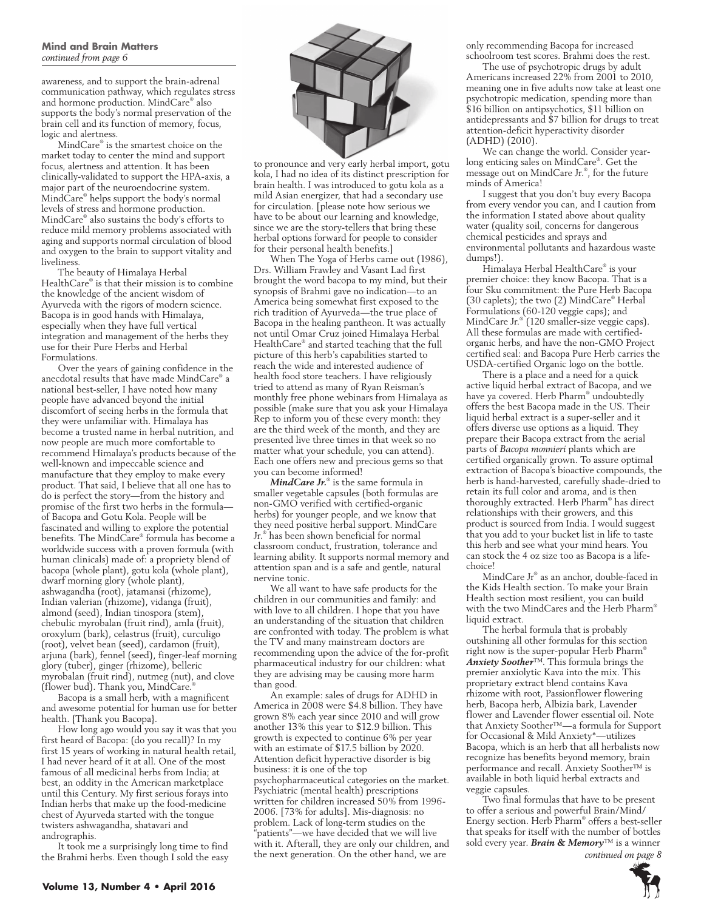awareness, and to support the brain-adrenal communication pathway, which regulates stress and hormone production. MindCare® also supports the body's normal preservation of the brain cell and its function of memory, focus, logic and alertness.

MindCare® is the smartest choice on the market today to center the mind and support focus, alertness and attention. It has been clinically-validated to support the HPA-axis, a major part of the neuroendocrine system. MindCare® helps support the body's normal levels of stress and hormone production. MindCare® also sustains the body's efforts to reduce mild memory problems associated with aging and supports normal circulation of blood and oxygen to the brain to support vitality and liveliness.

The beauty of Himalaya Herbal HealthCare® is that their mission is to combine the knowledge of the ancient wisdom of Ayurveda with the rigors of modern science. Bacopa is in good hands with Himalaya, especially when they have full vertical integration and management of the herbs they use for their Pure Herbs and Herbal Formulations.

Over the years of gaining confidence in the anecdotal results that have made MindCare® a national best-seller, I have noted how many people have advanced beyond the initial discomfort of seeing herbs in the formula that they were unfamiliar with. Himalaya has become a trusted name in herbal nutrition, and now people are much more comfortable to recommend Himalaya's products because of the well-known and impeccable science and manufacture that they employ to make every product. That said, I believe that all one has to do is perfect the story—from the history and promise of the first two herbs in the formula of Bacopa and Gotu Kola. People will be fascinated and willing to explore the potential benefits. The MindCare® formula has become a worldwide success with a proven formula (with human clinicals) made of: a propriety blend of bacopa (whole plant), gotu kola (whole plant), dwarf morning glory (whole plant), ashwagandha (root), jatamansi (rhizome), Indian valerian (rhizome), vidanga (fruit), almond (seed), Indian tinospora (stem), chebulic myrobalan (fruit rind), amla (fruit), oroxylum (bark), celastrus (fruit), curculigo (root), velvet bean (seed), cardamon (fruit), arjuna (bark), fennel (seed), finger-leaf morning glory (tuber), ginger (rhizome), belleric myrobalan (fruit rind), nutmeg (nut), and clove (flower bud). Thank you, MindCare.

Bacopa is a small herb, with a magnificent and awesome potential for human use for better health. {Thank you Bacopa}.

How long ago would you say it was that you first heard of Bacopa: (do you recall)? In my first 15 years of working in natural health retail, I had never heard of it at all. One of the most famous of all medicinal herbs from India; at best, an oddity in the American marketplace until this Century. My first serious forays into Indian herbs that make up the food-medicine chest of Ayurveda started with the tongue twisters ashwagandha, shatavari and andrographis.

It took me a surprisingly long time to find the Brahmi herbs. Even though I sold the easy



to pronounce and very early herbal import, gotu kola, I had no idea of its distinct prescription for brain health. I was introduced to gotu kola as a mild Asian energizer, that had a secondary use for circulation. [please note how serious we have to be about our learning and knowledge, since we are the story-tellers that bring these herbal options forward for people to consider for their personal health benefits.]

When The Yoga of Herbs came out (1986), Drs. William Frawley and Vasant Lad first brought the word bacopa to my mind, but their synopsis of Brahmi gave no indication—to an America being somewhat first exposed to the rich tradition of Ayurveda—the true place of Bacopa in the healing pantheon. It was actually not until Omar Cruz joined Himalaya Herbal HealthCare® and started teaching that the full picture of this herb's capabilities started to reach the wide and interested audience of health food store teachers. I have religiously tried to attend as many of Ryan Reisman's monthly free phone webinars from Himalaya as possible (make sure that you ask your Himalaya Rep to inform you of these every month: they are the third week of the month, and they are presented live three times in that week so no matter what your schedule, you can attend). Each one offers new and precious gems so that you can become informed!

*MindCare Jr.*® is the same formula in smaller vegetable capsules (both formulas are non-GMO verified with certified-organic herbs) for younger people, and we know that they need positive herbal support. MindCare Jr.® has been shown beneficial for normal classroom conduct, frustration, tolerance and learning ability. It supports normal memory and attention span and is a safe and gentle, natural nervine tonic.

We all want to have safe products for the children in our communities and family: and with love to all children. I hope that you have an understanding of the situation that children are confronted with today. The problem is what the TV and many mainstream doctors are recommending upon the advice of the for-profit pharmaceutical industry for our children: what they are advising may be causing more harm than good.

An example: sales of drugs for ADHD in America in 2008 were \$4.8 billion. They have grown 8% each year since 2010 and will grow another 13% this year to \$12.9 billion. This growth is expected to continue 6% per year with an estimate of \$17.5 billion by 2020. Attention deficit hyperactive disorder is big business: it is one of the top psychopharmaceutical categories on the market. Psychiatric (mental health) prescriptions written for children increased 50% from 1996- 2006. [73% for adults]. Mis-diagnosis: no problem. Lack of long-term studies on the "patients"—we have decided that we will live with it. Afterall, they are only our children, and the next generation. On the other hand, we are

only recommending Bacopa for increased schoolroom test scores. Brahmi does the rest.

The use of psychotropic drugs by adult Americans increased 22% from 2001 to 2010, meaning one in five adults now take at least one psychotropic medication, spending more than \$16 billion on antipsychotics, \$11 billion on antidepressants and \$7 billion for drugs to treat attention-deficit hyperactivity disorder (ADHD) (2010).

We can change the world. Consider yearlong enticing sales on MindCare® . Get the message out on MindCare Jr.® , for the future minds of America!

I suggest that you don't buy every Bacopa from every vendor you can, and I caution from the information I stated above about quality water (quality soil, concerns for dangerous chemical pesticides and sprays and environmental pollutants and hazardous waste dumps!).

Himalaya Herbal HealthCare® is your premier choice: they know Bacopa. That is a four Sku commitment: the Pure Herb Bacopa (30 caplets); the two (2) MindCare® Herbal Formulations (60-120 veggie caps); and MindCare Jr.® (120 smaller-size veggie caps). All these formulas are made with certifiedorganic herbs, and have the non-GMO Project certified seal: and Bacopa Pure Herb carries the USDA-certified Organic logo on the bottle.

There is a place and a need for a quick active liquid herbal extract of Bacopa, and we have ya covered. Herb Pharm® undoubtedly offers the best Bacopa made in the US. Their liquid herbal extract is a super-seller and it offers diverse use options as a liquid. They prepare their Bacopa extract from the aerial parts of *Bacopa monnieri* plants which are certified organically grown. To assure optimal extraction of Bacopa's bioactive compounds, the herb is hand-harvested, carefully shade-dried to retain its full color and aroma, and is then thoroughly extracted. Herb Pharm® has direct relationships with their growers, and this product is sourced from India. I would suggest that you add to your bucket list in life to taste this herb and see what your mind hears. You can stock the 4 oz size too as Bacopa is a lifechoice!

MindCare Jr® as an anchor, double-faced in the Kids Health section. To make your Brain Health section most resilient, you can build with the two MindCares and the Herb Pharm® liquid extract.

The herbal formula that is probably outshining all other formulas for this section right now is the super-popular Herb Pharm® *Anxiety Soother*™. This formula brings the premier anxiolytic Kava into the mix. This proprietary extract blend contains Kava rhizome with root, Passionflower flowering herb, Bacopa herb, Albizia bark, Lavender flower and Lavender flower essential oil. Note that Anxiety Soother™—a formula for Support for Occasional & Mild Anxiety\*—utilizes Bacopa, which is an herb that all herbalists now recognize has benefits beyond memory, brain performance and recall. Anxiety Soother™ is available in both liquid herbal extracts and veggie capsules.

Two final formulas that have to be present to offer a serious and powerful Brain/Mind/ Energy section. Herb Pharm® offers a best-seller that speaks for itself with the number of bottles sold every year. *Brain & Memory*™ is a winner

*continued on page 8*